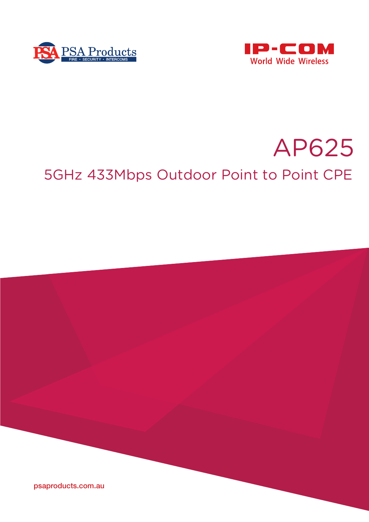



# AP625 5GHz 433Mbps Outdoor Point to Point CPE

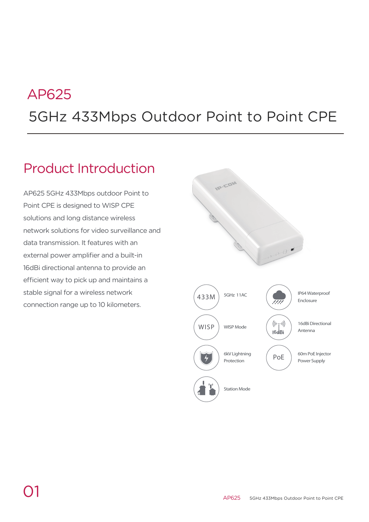# 5GHz 433Mbps Outdoor Point to Point CPE AP625

# Product Introduction

AP625 5GHz 433Mbps outdoor Point to Point CPE is designed to WISP CPE solutions and long distance wireless network solutions for video surveillance and data transmission. It features with an external power amplifier and a built-in 16dBi directional antenna to provide an efficient way to pick up and maintains a stable signal for a wireless network connection range up to 10 kilometers.

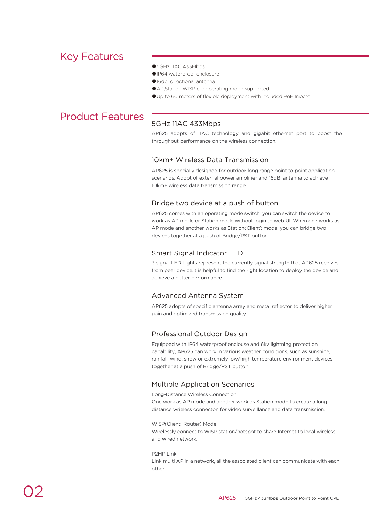# Key Features

- ●5GHz 11AC 433Mbps
- ●IP64 waterproof enclosure
- ●16dbi directional antenna
- AP, Station, WISP etc operating mode supported
- ●Up to 60 meters of flexible deployment with included PoE Injector

# Product Features

## 5GHz 11AC 433Mbps

AP625 adopts of 11AC technology and gigabit ethernet port to boost the throughput performance on the wireless connection.

## 10km+ Wireless Data Transmission

AP625 is specially designed for outdoor long range point to point application scenarios. Adopt of external power amplifier and 16dBi antenna to achieve 10km+ wireless data transmission range.

## Bridge two device at a push of button

AP625 comes with an operating mode switch, you can switch the device to work as AP mode or Station mode without login to web UI. When one works as AP mode and another works as Station(Client) mode, you can bridge two devices together at a push of Bridge/RST button.

## Smart Signal Indicator LED

3 signal LED Lights represent the currently signal strength that AP625 receives from peer device.It is helpful to find the right location to deploy the device and achieve a better performance.

## Advanced Antenna System

AP625 adopts of specific antenna array and metal reflector to deliver higher gain and optimized transmission quality.

## Professional Outdoor Design

Equipped with IP64 waterproof enclouse and 6kv lightning protection capability, AP625 can work in various weather conditions, such as sunshine, rainfall, wind, snow or extremely low/high temperature environment devices together at a push of Bridge/RST button.

## Multiple Application Scenarios

Long-Distance Wireless Connection

One work as AP mode and another work as Station mode to create a long distance wrieless connecton for video surveillance and data transmission.

#### WISP(Client+Router) Mode

Wirelessly connect to WISP station/hotspot to share Internet to local wireless and wired network.

#### P2MP Link

Link multi AP in a network, all the associated client can communicate with each other.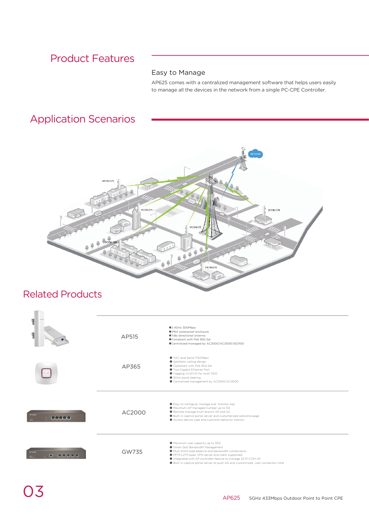# Product Features

## Easy to Manage

AP625 comes with a centralized management software that helps users easily to manage all the devices in the network from a single PC-CPE Controller.

# Application Scenarios



# Related Products

|            | AP515  | ●2.4GHz 300Mbps<br>OIP64 waterproof enclosure<br>●7dbi directional antenna<br>Compliant with PoE 802.3at<br>Centralized managed by AC2000/AC3000/SE3100                                                                                                                                                                           |
|------------|--------|-----------------------------------------------------------------------------------------------------------------------------------------------------------------------------------------------------------------------------------------------------------------------------------------------------------------------------------|
|            | AP365  | ● 11AC dual band 1750Mbps<br>● Aesthetic ceiling design<br>Compliant with PoE 802.3at<br>● Two Gigabit Ethernet Port<br>● Tagging VLAN ID for multi SSID<br>● 5GHz band steering<br>Centralized management by AC2000/AC3000                                                                                                       |
| 00000      | AC2000 | Easy to configure, manage and monitor Aps<br>A Maximum AP managed number up to 512<br>Remote manage multi branch AP and AC<br>● Built-in captive portal server and customerized welcome page<br>Access device type and customer behavior statistic                                                                                |
| e<br>00000 | GW735  | A Maximum user capacity up to 300<br>Smart QoS Bandwidth Management<br>● Multi WAN load balance and bandwidth combination<br>PPTP,L2TP, Ipsec VPN server and client supported<br>Integrated with AP controller feature to manage 32 IP-COM AP<br>● Built-in captive portal server to push AD and customrized user connection time |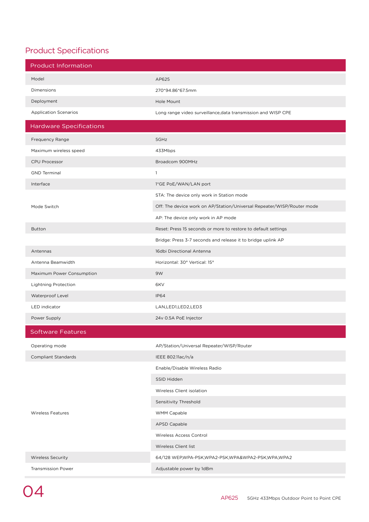## Product Specifications

| <b>Product Information</b>     |                                                                        |
|--------------------------------|------------------------------------------------------------------------|
| Model                          | AP625                                                                  |
| Dimensions                     | 270*94.86*67.5mm                                                       |
| Deployment                     | Hole Mount                                                             |
| <b>Application Scenarios</b>   | Long range video surveillance, data transmission and WISP CPE          |
| <b>Hardware Specifications</b> |                                                                        |
| Frequency Range                | 5GHz                                                                   |
| Maximum wireless speed         | 433Mbps                                                                |
| <b>CPU Processor</b>           | Broadcom 900MHz                                                        |
| <b>GND Terminal</b>            | $\mathbf{1}$                                                           |
| Interface                      | 1*GE PoE/WAN/LAN port                                                  |
|                                | STA: The device only work in Station mode                              |
| Mode Switch                    | Off: The device work on AP/Station/Universal Repeater/WISP/Router mode |
|                                | AP: The device only work in AP mode                                    |
| <b>Button</b>                  | Reset: Press 15 seconds or more to restore to default settings         |
|                                | Bridge: Press 3-7 seconds and release it to bridge uplink AP           |
| Antennas                       | 16dbi Directional Antenna                                              |
| Antenna Beamwidth              | Horizontal: 30° Vertical: 15°                                          |
| Maximum Power Consumption      | 9W                                                                     |
| <b>Lightning Protection</b>    | 6KV                                                                    |
| Waterproof Level               | <b>IP64</b>                                                            |
| <b>LED</b> indicator           | LAN,LED1,LED2,LED3                                                     |
| Power Supply                   | 24v 0.5A PoE Injector                                                  |
| <b>Software Features</b>       |                                                                        |
| Operating mode                 | AP/Station/Universal Repeater/WISP/Router                              |
| <b>Compliant Standards</b>     | IEEE 802.11ac/n/a                                                      |
|                                | Enable/Disable Wireless Radio                                          |
|                                | SSID Hidden                                                            |
|                                | Wireless Client isolation                                              |
|                                | Sensitivity Threshold                                                  |
| <b>Wireless Features</b>       | <b>WMM Capable</b>                                                     |
|                                | <b>APSD Capable</b>                                                    |
|                                | Wireless Access Control                                                |
|                                | Wireless Client list                                                   |
| <b>Wireless Security</b>       | 64/128 WEP,WPA-PSK,WPA2-PSK,WPA&WPA2-PSK,WPA,WPA2                      |
| <b>Transmission Power</b>      | Adjustable power by 1dBm                                               |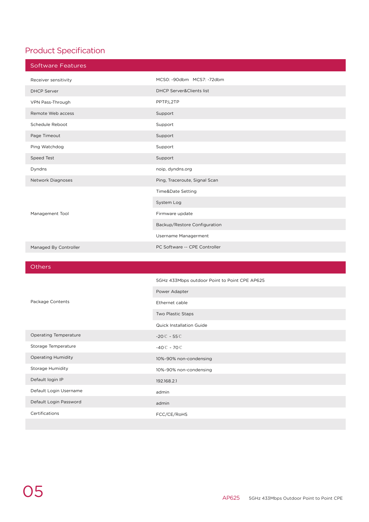# Product Specification

| <b>Software Features</b> |                                     |
|--------------------------|-------------------------------------|
| Receiver sensitivity     | MCS0: -90dbm MCS7: -72dbm           |
| <b>DHCP Server</b>       | <b>DHCP Server&amp;Clients list</b> |
| VPN Pass-Through         | PPTP,L2TP                           |
| Remote Web access        | Support                             |
| Schedule Reboot          | Support                             |
| Page Timeout             | Support                             |
| Ping Watchdog            | Support                             |
| Speed Test               | Support                             |
| Dyndns                   | noip, dyndns.org                    |
| Network Diagnoses        | Ping, Traceroute, Signal Scan       |
|                          | Time&Date Setting                   |
|                          | System Log                          |
| Management Tool          | Firmware update                     |
|                          | Backup/Restore Configuration        |
|                          | Username Managerment                |
| Managed By Controller    | PC Software -- CPE Controller       |

**Others** 

|                              | 5GHz 433Mbps outdoor Point to Point CPE AP625 |
|------------------------------|-----------------------------------------------|
|                              | Power Adapter                                 |
| Package Contents             | Ethernet cable                                |
|                              | Two Plastic Staps                             |
|                              | <b>Quick Installation Guide</b>               |
| <b>Operating Temperature</b> | $-20C - 55C$                                  |
| Storage Temperature          | $-40^{\circ}$ $-70^{\circ}$                   |
| <b>Operating Humidity</b>    | 10%-90% non-condensing                        |
| Storage Humidity             | 10%-90% non-condensing                        |
| Default login IP             | 192.168.2.1                                   |
| Default Login Username       | admin                                         |
| Default Login Password       | admin                                         |
| Certifications               | FCC/CE/RoHS                                   |